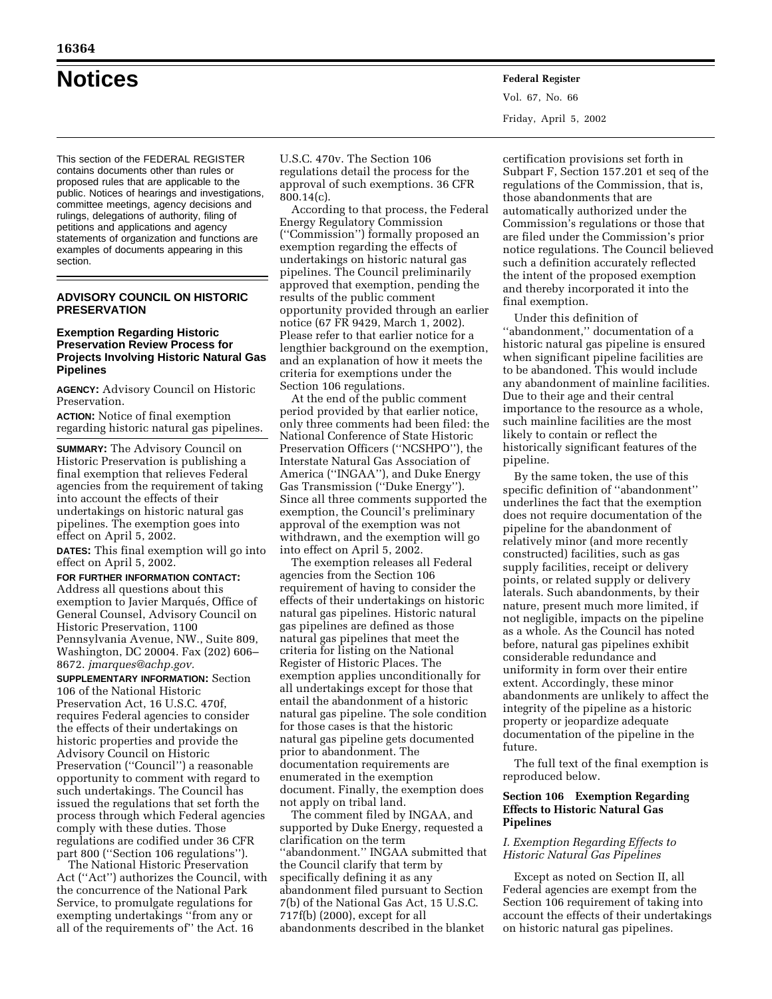This section of the FEDERAL REGISTER contains documents other than rules or proposed rules that are applicable to the public. Notices of hearings and investigations, committee meetings, agency decisions and rulings, delegations of authority, filing of petitions and applications and agency statements of organization and functions are examples of documents appearing in this section.

## **ADVISORY COUNCIL ON HISTORIC PRESERVATION**

## **Exemption Regarding Historic Preservation Review Process for Projects Involving Historic Natural Gas Pipelines**

**AGENCY:** Advisory Council on Historic Preservation.

**ACTION:** Notice of final exemption regarding historic natural gas pipelines.

**SUMMARY:** The Advisory Council on Historic Preservation is publishing a final exemption that relieves Federal agencies from the requirement of taking into account the effects of their undertakings on historic natural gas pipelines. The exemption goes into effect on April 5, 2002.

**DATES:** This final exemption will go into effect on April 5, 2002.

# **FOR FURTHER INFORMATION CONTACT:**

Address all questions about this exemption to Javier Marqués, Office of General Counsel, Advisory Council on Historic Preservation, 1100 Pennsylvania Avenue, NW., Suite 809, Washington, DC 20004. Fax (202) 606– 8672. *jmarques@achp.gov.*

**SUPPLEMENTARY INFORMATION:** Section 106 of the National Historic Preservation Act, 16 U.S.C. 470f, requires Federal agencies to consider the effects of their undertakings on historic properties and provide the Advisory Council on Historic Preservation (''Council'') a reasonable opportunity to comment with regard to such undertakings. The Council has issued the regulations that set forth the process through which Federal agencies comply with these duties. Those regulations are codified under 36 CFR part 800 (''Section 106 regulations'').

The National Historic Preservation Act (''Act'') authorizes the Council, with the concurrence of the National Park Service, to promulgate regulations for exempting undertakings ''from any or all of the requirements of'' the Act. 16

U.S.C. 470v. The Section 106 regulations detail the process for the approval of such exemptions. 36 CFR 800.14(c).

According to that process, the Federal Energy Regulatory Commission (''Commission'') formally proposed an exemption regarding the effects of undertakings on historic natural gas pipelines. The Council preliminarily approved that exemption, pending the results of the public comment opportunity provided through an earlier notice (67 FR 9429, March 1, 2002). Please refer to that earlier notice for a lengthier background on the exemption, and an explanation of how it meets the criteria for exemptions under the Section 106 regulations.

At the end of the public comment period provided by that earlier notice, only three comments had been filed: the National Conference of State Historic Preservation Officers (''NCSHPO''), the Interstate Natural Gas Association of America (''INGAA''), and Duke Energy Gas Transmission (''Duke Energy''). Since all three comments supported the exemption, the Council's preliminary approval of the exemption was not withdrawn, and the exemption will go into effect on April 5, 2002.

The exemption releases all Federal agencies from the Section 106 requirement of having to consider the effects of their undertakings on historic natural gas pipelines. Historic natural gas pipelines are defined as those natural gas pipelines that meet the criteria for listing on the National Register of Historic Places. The exemption applies unconditionally for all undertakings except for those that entail the abandonment of a historic natural gas pipeline. The sole condition for those cases is that the historic natural gas pipeline gets documented prior to abandonment. The documentation requirements are enumerated in the exemption document. Finally, the exemption does not apply on tribal land.

The comment filed by INGAA, and supported by Duke Energy, requested a clarification on the term ''abandonment.'' INGAA submitted that the Council clarify that term by specifically defining it as any abandonment filed pursuant to Section 7(b) of the National Gas Act, 15 U.S.C. 717f(b) (2000), except for all abandonments described in the blanket

certification provisions set forth in Subpart F, Section 157.201 et seq of the regulations of the Commission, that is, those abandonments that are automatically authorized under the Commission's regulations or those that are filed under the Commission's prior notice regulations. The Council believed such a definition accurately reflected the intent of the proposed exemption and thereby incorporated it into the final exemption.

Under this definition of ''abandonment,'' documentation of a historic natural gas pipeline is ensured when significant pipeline facilities are to be abandoned. This would include any abandonment of mainline facilities. Due to their age and their central importance to the resource as a whole, such mainline facilities are the most likely to contain or reflect the historically significant features of the pipeline.

By the same token, the use of this specific definition of ''abandonment'' underlines the fact that the exemption does not require documentation of the pipeline for the abandonment of relatively minor (and more recently constructed) facilities, such as gas supply facilities, receipt or delivery points, or related supply or delivery laterals. Such abandonments, by their nature, present much more limited, if not negligible, impacts on the pipeline as a whole. As the Council has noted before, natural gas pipelines exhibit considerable redundance and uniformity in form over their entire extent. Accordingly, these minor abandonments are unlikely to affect the integrity of the pipeline as a historic property or jeopardize adequate documentation of the pipeline in the future.

The full text of the final exemption is reproduced below.

## **Section 106 Exemption Regarding Effects to Historic Natural Gas Pipelines**

## *I. Exemption Regarding Effects to Historic Natural Gas Pipelines*

Except as noted on Section II, all Federal agencies are exempt from the Section 106 requirement of taking into account the effects of their undertakings on historic natural gas pipelines.

**Notices Federal Register** Vol. 67, No. 66 Friday, April 5, 2002